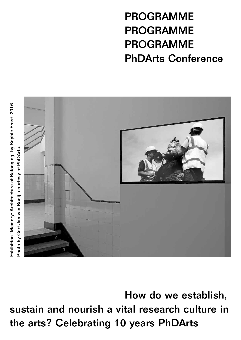PROGRAMME PROGRAMME PROGRAMME PhDArts Conference



How do we establish, sustain and nourish a vital research culture in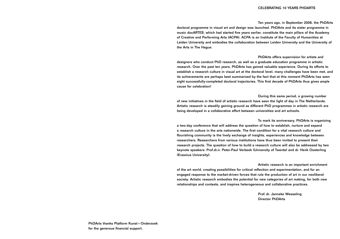#### CELEBRATING 10 YEARS PHDARTS

Ten years ago, in September 2008, the PhDArts doctoral programme in visual art and design was launched. PhDArts and its sister programme in music docARTES, which had started five years earlier, constitute the main pillars of the Academy of Creative and Performing Arts (ACPA). ACPA is an Institute of the Faculty of Humanities at Leiden University and embodies the collaboration between Leiden University and the University of the Arts in The Hague.

PhDArts offers supervision for artists and designers who conduct PhD research, as well as a graduate education programme in artistic research. Over the past ten years, PhDArts has gained valuable experience. During its efforts to establish a research culture in visual art at the doctoral level, many challenges have been met, and its achievements are perhaps best summarized by the fact that at this moment PhDArts has seen eight successfully-completed doctoral trajectories. This first decade of PhDArts thus gives ample cause for celebration!

During this same period, a growing number of new initiatives in the field of artistic research have seen the light of day in The Netherlands. Artistic research is steadily gaining ground as different PhD programmes in artistic research are being developed in a collaborative effort between universities and art schools.

To mark its anniversary, PhDArts is organizing a two-day conference that will address the question of how to establish, nurture and expand a research culture in the arts nationwide. The first condition for a vital research culture and flourishing community is the lively exchange of insights, experiences and knowledge between researchers. Researchers from various institutions have thus been invited to present their research projects. The question of how to build a research culture will also be addressed by two keynote speakers: Prof.dr.ir. Peter-Paul Verbeek (University of Twente) and dr. Henk Oosterling (Erasmus University).

Artistic research is an important enrichment of the art world, creating possibilities for critical reflection and experimentation, and for an engaged response to the market-driven forces that rule the production of art in our neoliberal society. Artistic research embodies the potential for new categories of art making, for both new relationships and contexts, and inspires heterogeneous and collaborative practices.

> Prof. dr. Janneke Wesseling Director PhDArts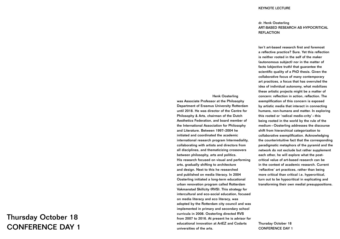### Henk Oosterling

was Associate Professor at the Philosophy Department of Erasmus University Rotterdam until 2018. He was director of the Centre for Philosophy & Arts, chairman of the Dutch Aesthetics Federation, and board member of the International Association for Philosophy and Literature. Between 1997–2004 he initiated and coordinated the academic international research program Intermediality, collaborating with artists and directors from all disciplines, and thematicizing crossovers between philosophy, arts and politics. His research focused on visual and performing arts, gradually shifting to architecture and design. Next to this he researched and published on media literacy. In 2004 Oosterling initiated a long-term educational urban renovation program called Rotterdam Vakmanstad Skillcity (RVS). This strategy for intercultural and eco-social education, focused on media literacy and eco literacy, was adopted by the Rotterdam city council and was implemented in primary and secondary school curricula in 2008. Oosterling directed RVS from 2007 to 2016. At present he is advisor for educational innovation at ArtEZ and Codarts universities of the arts.

# dr. Henk Oosterling ART-BASED RESEARCH AS HYPOCRITICAL **REFLACTION**

### KEYNOTE LECTURE

Isn't art-based research first and foremost a reflective practice? Sure. Yet this reflection is neither rooted in the self of the maker (autonomous subject) nor in the matter of facts (objective truth) that guarantee the scientific quality of a PhD thesis. Given the collaborative focus of many contemporary art practices, a focus that has overruled the idea of individual autonomy, what mobilizes these artistic projects might be a matter of concern: reflection in action, reflaction. The exemplification of this concern is exposed by artistic media that interact in connecting humans, non-humans and matter. In exploring this rooted or 'radical medio-crity' – this being rooted in the world by the rule of the medium – Oosterling addresses the discourse shift from hierarchical categorization to collaborative exemplification. Acknowledging the counterintuitive fact that the corresponding paradigmatic metaphors of the pyramid and the network do not exclude but rather supplement each other, he will explore what the postcritical value of art-based research can be in the context of academic research. Current 'reflactive' art practices, rather than being more critical than critical i.e. hypercritical, turn out to be hypocritical in explicating and transforming their own medial presuppositions.

Thursday October 18 CONFERENCE DAY 1

# Thursday October 18 CONFERENCE DAY 1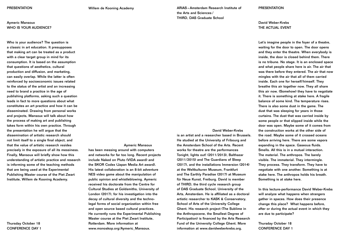# Aymeric Mansoux WHO IS YOUR AUDIENCE?

Who is your audience? The question is a classic in art education. It presupposes that making art can be treated as a product with a clear target group in mind for its consumption. It is based on the assumption that questions of aesthetics, cultural production and diffusion, and marketing, can easily overlap. While the latter is often reinforced by socioeconomic issues related to the status of the artist and an increasing need to brand a practice in the age of publishing platforms, asking such a question leads in fact to more questions about what constitutes an art practice and how it can be disseminated. Drawing from personal works and projects, Mansoux will talk about how the process of making art and publishing takes form within his own practice. Through the presentation he will argue that the dissemination of artistic research should not limit itself to a single final object, and that the value of artistic research resides precisely in the exposure of all its messiness. Finally, Mansoux will briefly show how this understanding of artistic practice and research is informing some of the teaching methods that are being used at the Experimental Publishing Master course of the Piet Zwart Institute, Willem de Kooning Academy.

#### Aymeric Mansoux

has been messing around with computers and networks for far too long. Recent projects include Naked on Pluto (VIDA award) and the SKOR Codex (Japan Media Art award). His latest collaboration is an 8-bit adventure NES video game about the manipulation of public opinion and whistleblowing. Aymeric received his doctorate from the Centre for Cultural Studies at Goldsmiths, University of London (2017), for his investigation into the decay of cultural diversity and the technolegal forms of social organization within free and open source based cultural practices. He currently runs the Experimental Publishing Master course at the Piet Zwart Institute, Rotterdam. More information at www.monoskop.org/Aymeric\_Mansoux.

David Weber-Krebs

David Weber-Krebs THE ACTUAL EVENT

is an artist and a researcher based in Brussels. He studied at the University of Fribourg and the Amsterdam School of the Arts. Recent works for theatre are the performances Tonight, lights out! (2011/2013), Balthazar (2011/2015) and The Guardians of Sleep (2017), and the installations Immersion (2014) at the Weltkulturen Museum, Frankfurt and The Earthly Paradise (2017) at Museum für Neue Kunst, Freiburg. David is member of THIRD, the third cycle research group of DAS Graduate School, University of the Arts, Amsterdam. He is affiliated as a doctoral artistic researcher to KASK & Conservatory, School of Arts of the University College Ghent. His research project (The Sublime in the Anthropocene, the Smallest Degree of Participation) is financed by the Arts Research Fund of the University College Ghent. More information at www.davidweberkrebs.org. before arriving here. There are some vapors expanding in the space. Gaseous fluids. Smells. All this is in a mutual interaction. The material. The anthropos. The barely visible. The immaterial. They intermingle. They process. They transform. They have to negotiate with one another. Something is at stake here. The anthropos holds his breath. Something is at stake here. In this lecture-performance David Weber-Krebs will analyze what happens when strangers gather in spaces. How does their presence change this place? What happens before, after or during the actual event in which they are due to participate? Thursday October 18 CONFERENCE DAY 1

#### **PRESENTATION**

Let's imagine people in the foyer of a theatre, waiting for the door to open. The door opens and they enter the theatre. When everybody is inside, the door is closed behind them. There is no tribune. No stage. It is an enclosed space and what people share here is air. The air that was there before they entered. The air that now mingles with the air that all of them carried inside. Each one for herself/himself. They breathe this air together now. They all share this air now. (Somehow) they have to negotiate it. There is something at stake here. A fragile balance of some kind. The temperature rises. There is also some dust in the game. The dust that was sleeping for years in those curtains. The dust that was carried inside by some people or that slipped inside while the door was open. Maybe some of it comes from the construction works at the other side of the road. Maybe some of it crossed oceans

# Thursday October 18 CONFERENCE DAY 1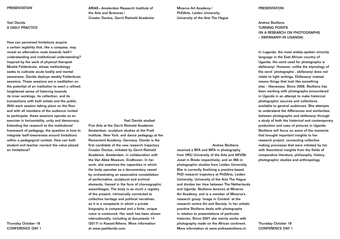# Yael Davids A DAILY PRACTICE

How can perceived limitations acquire a certain legibility that, like a compass, may reveal an alternative route towards (self-) understanding and institutional understanding? Inspired by the work of physical therapist Moshé Feldenkrais, whose methodology seeks to cultivate acute bodily and mental awareness, Davids deploys weekly Feldenkrais sessions. These sessions are a meditation on the potential of an institution to exert a refined, heightened sense of listening towards its inner workings, its collection, and its transactions with both artists and the public. With each session taking place on the floor and with all members of the audience invited to participate, these sessions operate as an exercise in horizontality, unity and democracy. Extending the research to the institutional framework of pedagogy, the question is how to integrate (self-)awareness around limitations within a pedagogical context. How can both student and teacher reorient the value placed on limitations?

ARIAS – Amsterdam Research Institute of the Arts and Sciences / Creator Doctus, Gerrit Rietveld Academie

Yael Davids studied Fine Arts at the Gerrit Rietveld Academie, Amsterdam, sculpture studies at the Pratt Institute, New York, and dance pedagogy at the Remscheid Academy, Germany. Davids is the first candidate of the new research trajectory Creator Doctus, initiated by Gerrit Rietveld Academie, Amsterdam, in collaboration with the Van Abbe Museum, Eindhoven. In her work, she examines the capacities in which the body operates as a documentary vessel by orchestrating an associative constellation of performative, sculptural and archival elements, framed in the form of choreographic assemblages. The body is as much a registry of the present, intrinsically connected to collective heritage and political narratives, as it is a receptacle in which a private biography is compacted and a finite, unique voice is contoured. Her work has been shown internationally, including at documenta 14 (2017) in Kassel/Athens. More information at www.yaeldavids.com.

Minerva Art Academy / PhDArts, Leiden University, University of the Arts The Hague

Andrea Stultiens

received a BFA and MFA in photography from HKU University of the Arts and AKV|St. Joost in Breda respectively, and an MA in photographic studies from Leiden University. She is currently finalizing a practice-based PhD research trajectory at PhDArts, Leiden University, University of the Arts The Hague and divides her time between The Netherlands and Uganda. Stultiens lectures at Minerva Art Academy, and is a member of Minerva's research group 'Image in Context' at the research centre Art and Society. In her artistic practice Stultiens deals with photographs in relation to presentations of particular histories. Since 2007 she mainly works with photography made on the African continent. More information at www.andreastultiens.nl.

### **PRESENTATION**

# Andrea Stultiens TURNING POINTS (IN A RESEARCH ON PHOTOGRAPHS – EBIFANANYI IN UGANDA)

In Luganda, the most widely-spoken minority language in the East African country of Uganda, the word used for photographs is ebifananyi. However, unlike the etymology of the word 'photographs', ebifananyi does not relate to light writings. Ebifananyi instead means things that look like something else - likenesses. Since 2008, Stultiens has been working with photographs encountered in Uganda in an attempt to make historical photographic sources and collections available to general audiences. She attempts to understand the differences and similarities between photographs and ebifananyi through a study of both the historical and contemporary production and uses of pictures in Uganda. Stultiens will focus on some of the moments that brought important insights to her research project, connecting collective making processes that were initiated by her with theoretical insights from the fields of comparative literature, philosophy, history, photographic studies and anthropology.

Thursday October 18 CONFERENCE DAY 1

Thursday October 18 CONFERENCE DAY 1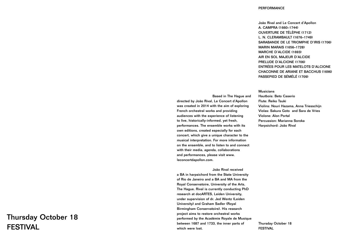**Based in The Hague** directed by João Rival, Le Concert d'Apollon was created in 2014 with the aim of exploring French orchestral works and providing audiences with the experience of listening to live, historically-informed, yet fresh, performances. The ensemble works with its own editions, created especially for each concert, which give a unique character to the musical interpretation. For more information on the ensemble, and to listen to and connect with their media, agenda, collaborations and performances, please visit www. leconcertdapollon.com.

João Rival received a BA in harpsichord from the State University of Rio de Janeiro and a BA and MA from the Royal Conservatoire, University of the Arts, The Hague. Rival is currently conducting PhD research at docARTES, Leiden University, under supervision of dr. Jed Wentz (Leiden University) and Graham Sadler (Royal Birmingham Conservatoire). His research project aims to restore orchestral works performed by the Académie Royale de Musique between 1687 and 1733, the inner parts of which were lost.

## PERFORMANCE

João Rival and Le Concert d'Apollon A. CAMPRA (1660–1744) OUVERTURE DE TÉLÈPHE (1712) L. N. CLERAMBAULT (1676–1749) SARABANDE DE LE TRIOMPHE D'IRIS (1706) MARIN MARAIS (1656–1728) MARCHE D'ALCIDE (1693) AIR EN SOL MAJEUR D'ALCIDE PRELUDE D'ALCIONE (1706) ENTRÉES POUR LES MATELOTS D'ALCIONE CHACONNE DE ARIANE ET BACCHUS (1696) PASSEPIED DE SÉMÉLÉ (1709)

|     | <b>Musicians</b>                        |
|-----|-----------------------------------------|
| and | Hautbois: Beto Caserio                  |
| 'n  | Flute: Reiko Tsuki                      |
| ng  | Violins: Nouri Hazama, Anna Triesschijn |
|     | Violas: Sakura Goto and Sara de Vries   |
|     | Violone: Alon Portal                    |
|     | Percussion: Marianna Soroka             |
|     | Harpsichord: João Rival                 |
|     |                                         |

Thursday October 18 FESTIVAL

# Thursday October 18 FESTIVAL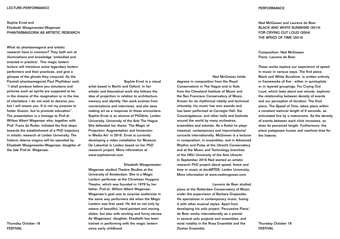# Sophie Ernst and Elisabeth Waagmeester-Wagenaar PHANTASMAGORIA AS ARTISTIC RESEARCH

What do phantasmagoria and artistic research have in common? They both aim at illuminations and knowledge 'embodied and enacted in practice'. This magic lantern lecture will introduce some legendary lantern performers and their practices, and give a glimpse of the ghosts they conjured. As the Flemish phantasmagorist Paul Phyllidoor said: "I shall produce before you simulacra and pictures such as spirits are supposed to be, in the dreams of the imagination or in the lies of charlatans. I do not wish to deceive you; but I will amaze you. It is not my purpose to foster illusion, but to promote education". The presentation is a homage to Prof.dr. Willem Albert Wagenaar who, together with Prof. Frans de Ruiter, initiated the first steps towards the establishment of a PhD trajectory in artistic research at Leiden University. The historic laterna magica will be operated by Elisabeth Waagmeester-Wagenaar, daughter of the late Prof.dr. Wagenaar.

Sophie Ernst is a visual artist based in Berlin and Oxford. In her artistic and theoretical work she follows the idea of projection in relation to architecture, memory and identity. Her work evolves from conversations and interviews, and she sees making art as a response to these encounters. Sophie Ernst is an alumna of PhDArts, Leiden University, University of the Arts The Hague. She defended her thesis 'The Magic of Projection: Augmentation and Immersion in Media Art' in 2016. Ernst is currently developing a video installation for Museum De Lakenhal in Leiden based on her PhD research project. More information at www.sophieernst.com.

Elisabeth Waagmeester-Wagenaar studied Theatre Studies at the University of Amsterdam. She is a Magic Lantern performer at the Christiaan Huygens Theatre, which was founded in 1979 by her father, Prof.dr. Willem Albert Wagenaar. Wagenaar's goal was to surprise audiences in the same way performers did when the Magic Lantern was first used. He did so not only by means of beautiful, hand-painted and moving slides, but also with exciting and funny stories. As Wagenaars' daughter, Elisabeth has been trained in performing with the magic lantern since early childhood.

#### Ned McGowan holds

degrees in composition from the Royal Conservatoire in The Hague and in flute from the Cleveland Institute of Music and the San Francisco Conservatory of Music. Known for its rhythmical vitality and technical virtuosity, his music has won awards and has been performed at Carnegie Hall, the Concertgebouw, and other halls and festivals around the world by many orchestras, ensembles and soloists. As a flutist he plays classical, contemporary and improvisational concerts internationally. McGowan is a lecturer in composition, in ensembles, and in Advanced Rhythm and Pulse at the Utrecht Conservatory and at the Music and Technology branches of the HKU University of the Arts Utrecht. In September 2016 Ned started an artistic research PhD project about speed, frame and time in music at docARTES, Leiden University. More information at www.nedmcgowan.com.

#### Laurens de Boer studied

piano at the Rotterdam Conservatory of Music under the supervision of Barbara Grajewska. He specializes in contemporary music, fusing it with other musical styles. Apart from developing his solo project 'Percussive Piano', de Boer works internationally as a pianist in several solo projects and ensembles, and most notably in the Rosa Ensemble and the Doelen Ensemble.

### **PERFORMANCE**

Ned McGowan and Laurens de Boer BLACK AND WHITE SUNSHINE (2014) FOR CRYING OUT LOUD (2004) THE SPEED OF TIME (2014)

Composition: Ned McGowan Piano: Laurens de Boer

These works explore our experience of speed in music in various ways. The first piece, Black and White Sunshine, is written entirely in frameworks of five - either in quintuplets or in layered groupings. For Crying Out Loud, which lasts about one minute, explores the relationship between density of events and our perception of duration. The final piece, The Speed of Time, takes place within a constant metrical length of 6 seconds, as articulated live by a metronome. As the density of events between each click increases, so does its perceived length. Furthermore, the piece juxtaposes human and machine time for the listener.

Thursday October 18 FESTIVAL

Thursday October 18 FESTIVAL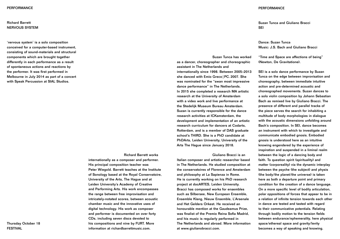# Richard Barrett NERVOUS SYSTEM

'nervous system' is a solo composition conceived for a computer-based instrument, consisting of sound-materials and structural components which are brought together differently in each performance as a result of spontaneous actions and reactions by the performer. It was first performed in Melbourne in July 2014 as part of a concert with Speak Percussion at SIAL Studios.

Richard Barrett works

internationally as a composer and performer. His principal composition teacher was Peter Wiegold. Barrett teaches at the Institute of Sonology based at the Royal Conservatoire, University of the Arts, The Hague and at Leiden University's Academy of Creative and Performing Arts. His work encompasses the range between free improvisation and intricately-notated scores, between acoustic chamber music and the innovative uses of digital technology. His work as composer and performer is documented on over forty CDs, including seven discs devoted to his compositions and nine by FURT. More information at richardbarrettmusic.com.

Suzan Tunca and Giuliano Bracci **SEI** 

Suzan Tunca has worked as a dancer, choreographer and choreographic assistant in The Netherlands and Giuliano Bracci is an "Time and Space are affections of being" (Newton, De Gravitatione). SEI is a solo dance performance by Suzan Tunca on the edge between improvisation and choreography, between immediate intuitive action and pre-determined acoustic and choreographed movements. Suzan dances to a solo violin composition by Johann Sebastian Bach as remixed live by Giuliano Bracci. The presence of different and parallel tracks of the piece serves the search for inhabiting a multitude of body morphologies in dialogue with the acoustic dimensions unfolding around Bach's composition. In SEI, dance becomes an instrument with which to investigate and communicate embodied gnosis. Embodied gnosis is understood here as an intuitive knowing engendered by the experience of inspiration and suspended in a liminal realm between the logic of a dancing body and faith. To question spirit (spirituality) and matter (corporeality) via the dynamic interplay between the psyche (the subject) and physis (the body/the planet/the universe) is taken here as both a departure point and primary condition for the creation of a dance language. On a more specific level of bodily articulation, polar oppositions of forces that appear to be in a relation of infinite tension towards each other in dance are tested and tasted with regard to their communicative potentials. Relating through bodily motion to the tension fields between endurance/ephemerality, here physical space/ethereal space and gravity/levity

Dance: Suzan Tunca Music: J.S. Bach and Giuliano Bracci

internationally since 1998. Between 2005–2013 she danced with Emio Greco | PC. 2007. She was nominated for the "swan most impressive dance performance" in The Netherlands. In 2015 she completed a research MA artistic research at the University of Amsterdam with a video work and live performance at the Stedelijk Museum Bureau Amsterdam. Suzan is currently responsible for the dance research activities at ICKamsterdam, the development and implementation of an artistic research curriculum for dancers at Codarts, Rotterdam, and is a member of DAS graduate school's THIRD. She is a PhD candidate at PhDArts, Leiden University, University of the Arts The Hague since January 2018. Italian composer and artistic researcher based in The Netherlands. He studied composition at the conservatoires of Florence and Amsterdam and philosophy at La Sapienza in Rome. He is currently working on his PhD research project at docARTES, Leiden University. Bracci has composed works for ensembles such as Silbersee, New European Ensemble, Ensemble Klang, Nieuw Ensemble, L'Arsenale and Het Gelders Orkest. He received an honourable mention at the Gaudeamus Prize, was finalist of the Premio Reina Sofia Madrid, and his music is regularly performed in The Netherlands and abroad. More information at www.giulianobracci.com. becomes a way of speaking and knowing.

Thursday October 18 FESTIVAL

#### **PERFORMANCE**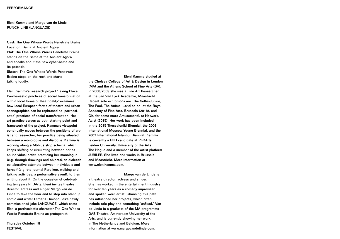# Eleni Kamma and Margo van de Linde PUNCH LINE (LANGUAGE)

Cast: The One Whose Words Penetrate Brains Location: Bema at Ancient Agora Plot: The One Whose Words Penetrate Brains stands on the Bema at the Ancient Agora and speaks about the new cyber-bema and its potential.

Sketch: The One Whose Words Penetrate Brains steps on the rock and starts talking loudly.

Eleni Kamma's research project 'Taking Place: Parrhesiastic practices of social transformation within local forms of theatricality' examines how local European forms of theatre and urban scenographies can be rephrased as 'parrhesiastic' practices of social transformation. Her art practice serves as both starting point and framework of the project. Kamma's viewpoint continually moves between the positions of artist and researcher, her practice being situated between a monologue and dialogue. Kamma is working along a Möbius strip schema, which keeps shifting or circulating between her as an individual artist, practicing her monologue (e.g. through drawings and objects), to dialectic collaborative attempts between individuals and herself (e.g. the journal Paroikeo, walking and talking activities, a performative event), to then writing about it. On the occasion of celebrating ten years PhDArts, Eleni invites theatre director, actress and singer Margo van de Linde to take the floor and to step into standup comic and writer Dimitris Dimopoulos's newly commissioned joke LANGUAGE, which casts Eleni's parrhesiastic character The One Whose Words Penetrate Brains as protagonist.

Eleni Kamma studied at the Chelsea College of Art & Design in London (MA) and the Athens School of Fine Arts (BA). In 2008/2009 she was a Fine Art Researcher at the Jan Van Eyck Academie, Maastricht. Recent solo exhibitions are: The Selfie-Junkie, The Fool, The Animal…and so on, at the Royal Academy of Fine Arts, Brussels (2018), and Oh, for some more Amusement!, at Netwerk, Aalst (2015). Her work has been included in the 2015 Thessaloniki Biennial, the 2008 International Moscow Young Biennial, and the 2007 International Istanbul Biennial. Kamma is currently a PhD candidate at PhDArts, Leiden University, University of the Arts The Hague and a member of the artist platform JUBILEE. She lives and works in Brussels and Maastricht. More information at www.elenikamma.com.

Margo van de Linde is a theatre director, actress and singer. She has worked in the entertainment industry for over ten years as a comedy improviser and spoken word artist. Choosing this path has influenced her projects, which often include role-play and something 'unfixed.' Van de Linde is a graduate of the MA programme DAS Theatre, Amsterdam University of the Arts, and is currently showing her work in The Netherlands and Belgium. More information at www.margovandelinde.com.

Thursday October 18 FESTIVAL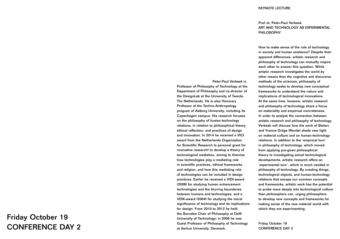#### KEYNOTE LECTURE

# Prof. dr. Peter-Paul Verbeek ART AND TECHNOLOGY AS EXPERIMENTAL PHILOSOPHY

Peter-Paul Verbeek is Professor of Philosophy of Technology at the Department of Philosophy and co-director of the DesignLab at the University of Twente, The Netherlands. He is also Honorary Professor at the Techno-Anthropology program of Aalborg University, including its Copenhagen campus. His research focuses on the philosophy of human-technology relations, in relation to philosophical theory, ethical reflection, and practices of design and innovation. In 2014 he received a VICI award from the Netherlands Organization for Scientific Research (a personal grant for innovative research) to develop a theory of technological mediation, aiming to theorize how technologies play a mediating role in scientific practices, ethical frameworks and religion, and how this mediating role of technologies can be included in design practices. Earlier he received a VIDI-award (2008) for studying human enhancement technologies and the blurring boundaries between humans and technologies, and a VENI-award (2004) for studying the moral significance of technology and its implications for design. From 2010 to 2012 he held the Socrates Chair of Philosophy at Delft University of Technology; in 2006 he was Guest Professor of Philosophy of Technology at Aarhus University, Denmark. Friday October 19 CONFERENCE DAY 2

How to make sense of the role of technology in society and human existence? Despite their apparent differences, artistic research and philosophy of technology can mutually inspire each other to answer this question. While artistic research investigates the world by other means than the cognitive and discursive methods of the sciences, philosophy of technology seeks to develop new conceptual frameworks to understand the nature and implications of technological innovations. At the same time, however, artistic research and philosophy of technology share a focus on materiality and empirical concreteness. In order to analyze the connection between artistic research and philosophy of technology, Verbeek will discuss how the work of Stelarc and Yvonne Dröge Wendel sheds new light on material culture and on human-technology relations. In addition to the 'empirical turn' in philosophy of technology, which moved from applying pre-given philosophical theory to investigating actual technological developments, artistic research offers an 'experimental turn', which is much needed in philosophy of technology. By creating things, technological objects, and human-technology relations that escape our common concepts and frameworks, artistic work has the potential to probe more deeply into technological culture than philosophers can, urging philosophers to develop new concepts and frameworks for making sense of the new material world with which they are experimenting.

# Friday October 19 CONFERENCE DAY 2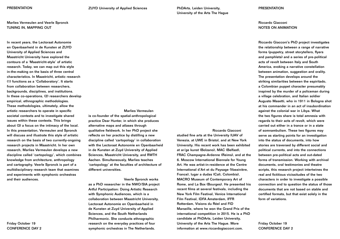Marlies Vermeulen and Veerle Spronck TUNING IN, MAPPING OUT

In recent years, the Lectoraat Autonomie en Openbaarheid in de Kunsten at ZUYD University of Applied Sciences and Maastricht University have explored the contours of a 'Maastricht-style' of artistic research. Today, we can map out this style in-the-making on the basis of three central characteristics. In Maastricht, artistic research (1) functions as a 'Collaboratory'. It starts from collaboration between researchers, backgrounds, disciplines, and institutions. In these co-operations, (2) researchers develop empirical, ethnographic methodologies. These methodologies, ultimately, allow the artistic researchers to operate in specific societal contexts and to investigate shared issues within these contexts. This brings about (3) a focus on the intimacy of the local. In this presentation, Vermeulen and Spronck will discuss and illustrate this style of artistic research on the basis of two currently-ongoing research projects in Maastricht. In her own research, Marlies Vermeulen develops a new discipline called 'cartopology', which combines knowledge from architecture, anthropology and cartography. Veerle Spronck is part of a multidisciplinary research team that examines and experiments with symphonic orchestras and their audiences.

#### Marlies Vermeulen

is co-founder of the spatial-anthropological practice Dear Hunter, in which she produces alternative maps and atlases through qualitative fieldwork. In her PhD project she reflects on her practice by distilling a new discipline called 'cartopology' in collaboration with the Lectoraat Autonomie en Openbaarheid in de Kunsten at Zuyd University of Applied Sciences, Maastricht University, and RWTH Aachen. Simultaneously, Marlies teaches 'cartopology' at the faculties of architecture of different universities.

Veerle Spronck works as a PhD researcher in the NWO/SIA project Artful Participation: Doing Artistic Research with Symphonic Audiences, which is a collaboration between Maastricht University, Lectoraat Autonomie en Openbaarheid in de Kunsten at Zuyd University of Applied Sciences, and the South Netherlands Philharmonic. She conducts ethnographic research on the everyday practices of four symphonic orchestras in The Netherlands.

PhDArts, Leiden University, University of the Arts The Hague

Riccardo Giacconi studied fine arts at the University IUAV of Venezia, at UWE in Bristol, and at New York University. His recent work has been exhibited at ar/ge kunst (Bolzano), MAC (Belfast), FRAC Champagne-Ardenne (Reims), and at the 6. Moscow International Biennale for Young Art. He was artist-in-residence at the Centre International d'Art et du Paysage (Vassivière, France), lugar a dudas (Cali, Colombia), MACRO Museum of Contemporary Art of Rome, and La Box (Bourges). He presented his recent films at several festivals, including the New York Film Festival, Venice International Film Festival, IDFA Amsterdam, IFFR Rotterdam, Visions du Réel and FID Marseille, where he won the Grand Prix of the international competition in 2015. He is a PhD candidate at PhDArts, Leiden University, University of the Arts The Hague. More information at www.riccardogiacconi.com.

#### **PRESENTATION**

# Riccardo Giacconi NOTES ON ANIMATION

Riccardo Giacconi's PhD project investigates the relationship between a range of narrative forms (puppetry, street storytellers, flyers and pamphlets) and a series of pre-political acts of revolt between Italy and South America, evoking a narrative constellation between animation, suggestion and orality. The presentation develops around the striking similarities between the espiritado, a Colombian puppet character presumably inspired by the murder of a policeman during a village celebration, and Italian soldier Augusto Masetti, who in 1911 in Bologna shot at his commander in an act of insubordination against the colonial war in Libya. What the two figures share is total amnesia with regards to their acts of revolt, which were carried out either in a trance or in a state of somnambulism. These two figures may serve as starting points for an investigation into the status of documents, into how stories are traversed by different social and political currents, and into the connections between pre-political acts and out-dated forms of transmission. Working with archival documents, oral testimonies and theatre scripts, this research project intertwines the real and fictitious vicissitudes of the two characters in order to investigate a possible connection and to question the status of those documents that are not based on stable and certified formats, but that exist solely in the form of variations.

Friday October 19 CONFERENCE DAY 2

Friday October 19 CONFERENCE DAY 2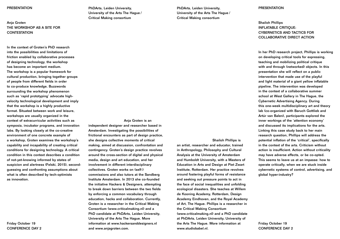#### **PRESENTATION**

Anja Groten THE WORKSHOP AS A SITE FOR **CONTESTATION** 

In the context of Groten's PhD research into the possibilities and limitations of friction enabled by collaborative processes of designing technology, the workshop has become an important medium. The workshop is a popular framework for cultural production, bringing together groups of people from different fields in order to co-produce knowledge. Buzzwords surrounding the workshop phenomenon such as 'rapid prototyping' advocate highvelocity technological development and imply that the workshop is a highly productive format. Situated between work and leisure, workshops are usually organized in the context of extracurricular activities such as symposia, incubator programs, and innovation labs. By looking closely at the co-creative environment of one concrete example of a workshop, Groten examines the workshop's capability and incapability of creating critical conditions for designing technology. A critical condition in this context describes a condition of not-yet-knowing informed by states of suspicion and alertness (Felski, 2015), secondguessing and confronting assumptions about what is often described by tech-optimists as innovation.

PhDArts, Leiden University, University of the Arts The Hague / Critical Making consortium

Anja Groten is an independent designer and researcher based in Amsterdam. Investigating the possibilities of frictional encounters as part of design practice, she designs collective moments of critical making, aimed at discussion, confrontation and contingency. Groten's design practice revolves around the cross-section of digital and physical media, design and art education, and her involvement in different interdisciplinary collectives. Groten works on (self-) commissions and also tutors at the Sandberg Institute Amsterdam. In 2013 she co-founded the initiative Hackers & Designers, attempting to break down barriers between the two fields by enforcing a common vocabulary through education, hacks and collaboration. Currently, Groten is a researcher in the Critical Making Consortium (www.criticalmaking.nl) and a PhD candidate at PhDArts, Leiden University, University of the Arts The Hague. More information at www.hackersanddesigners.nl and www.anjagroten.com.

PhDArts, Leiden University, University of the Arts The Hague / Critical Making consortium

Shailoh Phillips is an artist, researcher and educator, trained in Anthropology, Philosophy and Cultural Analysis at the University of Amsterdam and Humboldt University, with a Masters of Education in Arts and Design at Piet Zwart Institute, Rotterdam. Her practice revolves around fostering playful forms of resistance and seeking out pressure points to act in the face of social inequalities and unfolding ecological disasters. She teaches at Willem de Kooning Academy, Rotterdam, Design Academy Eindhoven, and the Royal Academy of Art, The Hague. Phillips is a researcher in the Critical Making Consortium (www.criticalmaking.nl) and a PhD candidate at PhDArts, Leiden University, University of the Arts The Hague. More information at www.studiobabel.nl.

#### **PRESENTATION**

# Shailoh Phillips INFLATABLE CRITIQUE: CYBERNETICS AND TACTICS FOR COLLABORATIVE DIRECT ACTION

In her PhD research project, Phillips is working on developing critical tools for expressing, teaching and mobilizing political critique with and through (networked) objects. In this presentation she will reflect on a public intervention that made use of the playful and light material of a giant yellow inflatable pipeline. The intervention was developed in the context of a collaborative summer school at West Gallery in The Hague, the Cybernetic Advertising Agency. During this one-week multidisciplinary art and theory lab (co-organized with Baruch Gottlieb and Artúr van Balen), participants explored the inner workings of the 'attention economy' and discussed its implications for the arts. Linking this case study back to her main research question, Phillips will address the potential inflation of the 'critical', specifically in the context of the arts. Criticism without action is insufficient. Action without criticality may have adverse effects, or be co-opted. This seems to leave us at an impasse: how to operate critically, when we are stuck inside cybernetic systems of control, advertising, and global hyper-industry?

Friday October 19 CONFERENCE DAY 2

Friday October 19 CONFERENCE DAY 2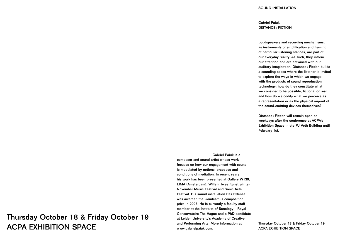Gabriel Paiuk is a

composer and sound artist whose work focuses on how our engagement with sound is modulated by notions, practices and conditions of mediation. In recent years his work has been presented at Gallery W139, LIMA (Amsterdam), Willem Twee Kunstruimte-November Music Festival and Sonic Acts Festival. His sound installation Res Extensa was awarded the Gaudeamus composition prize in 2006. He is currently a faculty staff member at the Institute of Sonology – Royal Conservatoire The Hague and a PhD candidate at Leiden University's Academy of Creative and Performing Arts. More information at www.gabrielpaiuk.com.

### SOUND INSTALLATION

Gabriel Paiuk DISTANCE / FICTION

Loudspeakers and recording mechanisms, as instruments of amplification and framing of particular listening stances, are part of our everyday reality. As such, they inform our attention and are entwined with our auditory imagination. Distance / Fiction builds a sounding space where the listener is invited to explore the ways in which we engage with the products of sound reproduction technology: how do they constitute what we consider to be possible, fictional or real, and how do we codify what we perceive as a representation or as the physical imprint of the sound-emitting devices themselves?

Distance / Fiction will remain open on weekdays after the conference at ACPA's Exhibition Space in the PJ Veth Building until February 1st.

Thursday October 18 & Friday October 19 ACPA EXHIBITION SPACE

# Thursday October 18 & Friday October 19 ACPA EXHIBITION SPACE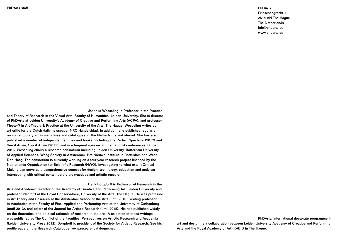Janneke Wesseling is Professor in the Practice

and Theory of Research in the Visual Arts, Faculty of Humanities, Leiden University. She is director of PhDArts at Leiden University's Academy of Creative and Performing Arts (ACPA), and professor ('lector') in Art Theory & Practice at the University of the Arts, The Hague. Wesseling writes as art critic for the Dutch daily newspaper NRC Handelsblad. In addition, she publishes regularly on contemporary art in magazines and catalogues in The Netherlands and abroad. She has also published a number of independent studies and books, including The Perfect Spectator (2017) and See it Again, Say it Again (2011), and is a frequent speaker at international conferences. Since 2016, Wesseling chairs a research consortium including Leiden University, Rotterdam University of Applied Sciences, Waag Society in Amsterdam, Het Nieuwe Instituut in Rotterdam and West Den Haag. The consortium is currently working on a four-year research project financed by the Netherlands Organization for Scientific Research (NWO), investigating to what extent Critical Making can serve as a comprehensive concept for design, technology, education and activism intersecting with critical contemporary art practices and artistic research.

Henk Borgdorff is Professor of Research in the Arts and Academic Director of the Academy of Creative and Performing Art, Leiden University and professor ('lector') at the Royal Conservatoire, University of the Arts, The Hague. He was professor in Art Theory and Research at the Amsterdam School of the Arts (until 2010), visiting professor in Aesthetics at the Faculty of Fine, Applied and Performing Arts at the University of Gothenburg (until 2013), and editor of the Journal for Artistic Research (until 2015). His has published widely on the theoretical and political rationale of research in the arts. A selection of these writings was published as The Conflict of the Faculties: Perspectives on Artistic Research and Academia (Leiden University Press 2012). Borgdorff is president of the Society for Artistic Research. See his profile page on the Research Catalogue: www.researchcatalogue.net.

PhDArts

Prinsessegracht 4 2514 AN The Hague The Netherlands info@phdarts.eu www.phdarts.eu

PhDArts, international doctorate programme in art and design, is a collaboration between Leiden University Academy of Creative and Performing Arts and the Royal Academy of Art (KABK) in The Hague.